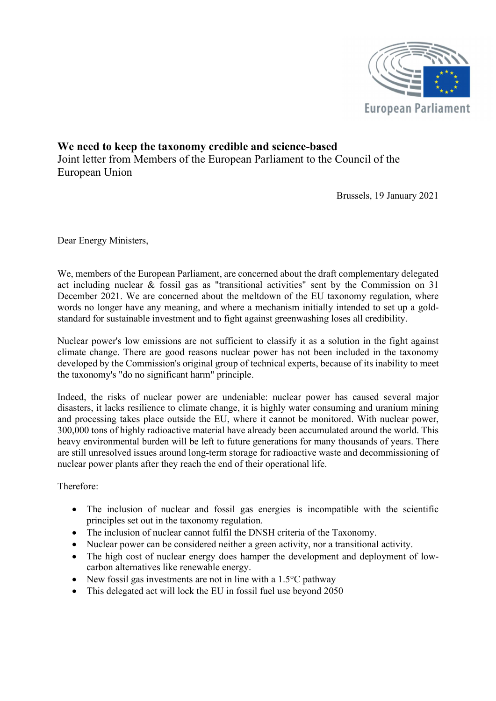

## We need to keep the taxonomy credible and science-based Joint letter from Members of the European Parliament to the Council of the European Union

Brussels, 19 January 2021

Dear Energy Ministers,

We, members of the European Parliament, are concerned about the draft complementary delegated act including nuclear & fossil gas as "transitional activities" sent by the Commission on 31 December 2021. We are concerned about the meltdown of the EU taxonomy regulation, where words no longer have any meaning, and where a mechanism initially intended to set up a goldstandard for sustainable investment and to fight against greenwashing loses all credibility.

 Nuclear power's low emissions are not sufficient to classify it as a solution in the fight against climate change. There are good reasons nuclear power has not been included in the taxonomy developed by the Commission's original group of technical experts, because of its inability to meet the taxonomy's "do no significant harm" principle.

 Indeed, the risks of nuclear power are undeniable: nuclear power has caused several major disasters, it lacks resilience to climate change, it is highly water consuming and uranium mining and processing takes place outside the EU, where it cannot be monitored. With nuclear power, 300,000 tons of highly radioactive material have already been accumulated around the world. This heavy environmental burden will be left to future generations for many thousands of years. There are still unresolved issues around long-term storage for radioactive waste and decommissioning of nuclear power plants after they reach the end of their operational life.

Therefore:

- The inclusion of nuclear and fossil gas energies is incompatible with the scientific principles set out in the taxonomy regulation.
- The inclusion of nuclear cannot fulfil the DNSH criteria of the Taxonomy.
- Nuclear power can be considered neither a green activity, nor a transitional activity.
- The high cost of nuclear energy does hamper the development and deployment of lowcarbon alternatives like renewable energy.
- New fossil gas investments are not in line with a  $1.5^{\circ}$ C pathway
- This delegated act will lock the EU in fossil fuel use beyond 2050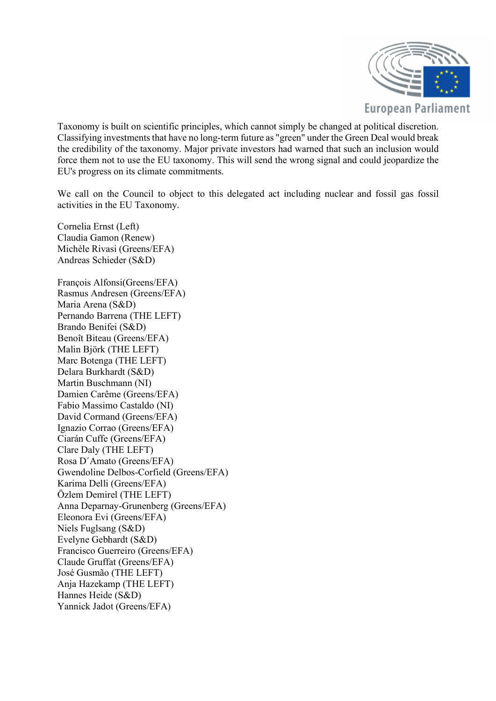

Taxonomy is built on scientific principles, which cannot simply be changed at political discretion. Classifying investments that have no long-term future as "green" under the Green Deal would break the credibility of the taxonomy. Major private investors had warned that such an inclusion would force them not to use the EU taxonomy. This will send the wrong signal and could jeopardize the EU's progress on its climate commitments.

 We call on the Council to object to this delegated act including nuclear and fossil gas fossil activities in the EU Taxonomy.

Cornelia Ernst (Left) Claudia Gamon (Renew) Michèle Rivasi (Greens/EFA) Andreas Schieder (S&D)

François Alfonsi(Greens/EFA) Rasmus Andresen (Greens/EFA) Maria Arena (S&D) Pernando Barrena (THE LEFT) Brando Benifei (S&D) Benoît Biteau (Greens/EFA) Malin Björk (THE LEFT) Marc Botenga (THE LEFT) Delara Burkhardt (S&D) Martin Buschmann (NI) Damien Carême (Greens/EFA) Fabio Massimo Castaldo (NI) David Cormand (Greens/EFA) Ignazio Corrao (Greens/EFA) Ciarán Cuffe (Greens/EFA) Clare Daly (THE LEFT) Rosa D´Amato (Greens/EFA) Gwendoline Delbos-Corfield (Greens/EFA) Karima Delli (Greens/EFA) Özlem Demirel (THE LEFT) Anna Deparnay-Grunenberg (Greens/EFA) Eleonora Evi (Greens/EFA) Niels Fuglsang (S&D) Evelyne Gebhardt (S&D) Francisco Guerreiro (Greens/EFA) Claude Gruffat (Greens/EFA) José Gusmão (THE LEFT) Anja Hazekamp (THE LEFT) Hannes Heide (S&D) Yannick Jadot (Greens/EFA)